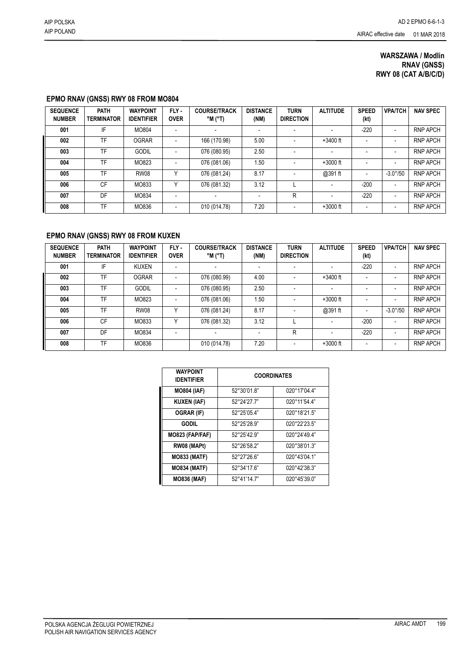## **WARSZAWA / Modlin RNAV (GNSS) RWY 08 (CAT A/B/C/D)**

## **EPMO RNAV (GNSS) RWY 08 FROM MO804**

| <b>SEQUENCE</b><br><b>NUMBER</b> | <b>PATH</b><br><b>TERMINATOR</b> | <b>WAYPOINT</b><br><b>IDENTIFIER</b> | FLY-<br><b>OVER</b>      | <b>COURSE/TRACK</b><br>°M (°T) | <b>DISTANCE</b><br>(NM)  | <b>TURN</b><br><b>DIRECTION</b> | <b>ALTITUDE</b>          | <b>SPEED</b><br>(kt)     | <b>VPA/TCH</b>           | <b>NAV SPEC</b> |
|----------------------------------|----------------------------------|--------------------------------------|--------------------------|--------------------------------|--------------------------|---------------------------------|--------------------------|--------------------------|--------------------------|-----------------|
| 001                              | IF                               | MO804                                | $\overline{\phantom{a}}$ |                                | $\overline{\phantom{a}}$ |                                 |                          | $-220$                   | $\overline{\phantom{0}}$ | <b>RNP APCH</b> |
| 002                              | TF                               | <b>OGRAR</b>                         | $\overline{\phantom{a}}$ | 166 (170.98)                   | 5.00                     |                                 | $+3400$ ft               | $\overline{\phantom{0}}$ | $\overline{\phantom{a}}$ | <b>RNP APCH</b> |
| 003                              | TF                               | <b>GODIL</b>                         |                          | 076 (080.95)                   | 2.50                     |                                 |                          |                          | $\overline{\phantom{0}}$ | <b>RNP APCH</b> |
| 004                              | TF                               | MO823                                | $\overline{\phantom{a}}$ | 076 (081.06)                   | 1.50                     |                                 | $+3000$ ft               | $\blacksquare$           | $\overline{\phantom{a}}$ | <b>RNP APCH</b> |
| 005                              | TF                               | <b>RW08</b>                          | $\checkmark$             | 076 (081.24)                   | 8.17                     |                                 | @391 ft                  | $\overline{\phantom{a}}$ | $-3.0^{\circ}/50$        | <b>RNP APCH</b> |
| 006                              | CF                               | MO833                                | $\checkmark$             | 076 (081.32)                   | 3.12                     |                                 |                          | $-200$                   | $\overline{\phantom{a}}$ | <b>RNP APCH</b> |
| 007                              | DF                               | MO834                                | $\overline{\phantom{a}}$ | $\overline{\phantom{a}}$       | $\blacksquare$           | R                               | $\overline{\phantom{a}}$ | $-220$                   | $\overline{\phantom{a}}$ | <b>RNP APCH</b> |
| 008                              | TF                               | MO836                                | $\overline{\phantom{a}}$ | 010 (014.78)                   | 7.20                     | $\overline{\phantom{a}}$        | $+3000$ ft               | $\overline{\phantom{a}}$ | $\overline{\phantom{a}}$ | <b>RNP APCH</b> |

## **EPMO RNAV (GNSS) RWY 08 FROM KUXEN**

| <b>SEQUENCE</b><br><b>NUMBER</b> | <b>PATH</b><br><b>TERMINATOR</b> | <b>WAYPOINT</b><br><b>IDENTIFIER</b> | FLY-<br><b>OVER</b>      | <b>COURSE/TRACK</b><br>$^{\circ}$ M ( $^{\circ}$ T) | <b>DISTANCE</b><br>(NM) | <b>TURN</b><br><b>DIRECTION</b> | <b>ALTITUDE</b>          | <b>SPEED</b><br>(kt)     | <b>VPA/TCH</b>           | <b>NAV SPEC</b> |
|----------------------------------|----------------------------------|--------------------------------------|--------------------------|-----------------------------------------------------|-------------------------|---------------------------------|--------------------------|--------------------------|--------------------------|-----------------|
| 001                              | IF                               | <b>KUXEN</b>                         | $\overline{\phantom{a}}$ |                                                     |                         |                                 |                          | $-220$                   | $\overline{\phantom{a}}$ | <b>RNP APCH</b> |
| 002                              | TF                               | <b>OGRAR</b>                         |                          | 076 (080.99)                                        | 4.00                    |                                 | $+3400$ ft               |                          |                          | <b>RNP APCH</b> |
| 003                              | TF                               | <b>GODIL</b>                         | $\blacksquare$           | 076 (080.95)                                        | 2.50                    | $\,$                            | $\overline{\phantom{a}}$ | $\blacksquare$           | $\overline{\phantom{a}}$ | <b>RNP APCH</b> |
| 004                              | TF                               | MO823                                | $\blacksquare$           | 076 (081.06)                                        | 1.50                    | $\overline{\phantom{0}}$        | $+3000$ ft               |                          |                          | <b>RNP APCH</b> |
| 005                              | TF                               | <b>RW08</b>                          | v                        | 076 (081.24)                                        | 8.17                    |                                 | @391 ft                  | $\overline{\phantom{0}}$ | $-3.0^{\circ}/50$        | <b>RNP APCH</b> |
| 006                              | CF                               | MO833                                | Υ                        | 076 (081.32)                                        | 3.12                    |                                 |                          | $-200$                   | $\overline{\phantom{a}}$ | <b>RNP APCH</b> |
| 007                              | DF                               | MO834                                |                          |                                                     |                         | R                               |                          | $-220$                   |                          | <b>RNP APCH</b> |
| 008                              | TF                               | MO836                                |                          | 010 (014.78)                                        | 7.20                    | $\,$                            | $+3000$ ft               |                          |                          | <b>RNP APCH</b> |

| <b>WAYPOINT</b><br><b>IDENTIFIER</b> | <b>COORDINATES</b> |                       |  |  |  |  |  |
|--------------------------------------|--------------------|-----------------------|--|--|--|--|--|
| <b>MO804 (IAF)</b>                   | 52°30'01.8"        | 020°17'04.4"          |  |  |  |  |  |
| <b>KUXEN (IAF)</b>                   | 52°24'27.7"        | 020°11'54.4"          |  |  |  |  |  |
| <b>OGRAR (IF)</b>                    | 52°25'05.4"        | 020°18'21.5"          |  |  |  |  |  |
| <b>GODIL</b>                         | 52°25'28.9"        | 020°22'23.5"          |  |  |  |  |  |
| MO823 (FAP/FAF)                      | 52°25'42.9"        | 020°24'49.4"          |  |  |  |  |  |
| RW08 (MAPt)                          | 52°26'58.2"        | 020°38'01.3"          |  |  |  |  |  |
| <b>MO833 (MATF)</b>                  | 52°27'26.6"        | 020°43'04.1"          |  |  |  |  |  |
| <b>MO834 (MATF)</b>                  | 52°34'17.6"        | 020°42'38.3"          |  |  |  |  |  |
| <b>MO836 (MAF)</b>                   | 52°41'14.7"        | $020^{\circ}45'39.0"$ |  |  |  |  |  |